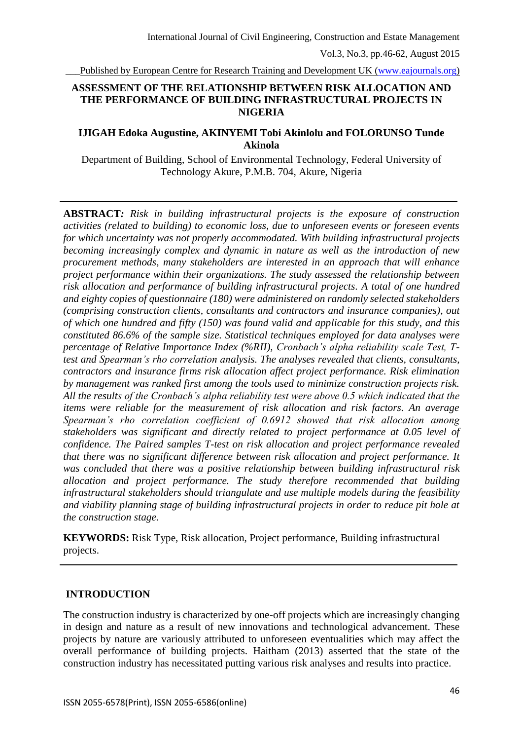Published by European Centre for Research Training and Development UK [\(www.eajournals.org\)](http://www.eajournals.org/)

### **ASSESSMENT OF THE RELATIONSHIP BETWEEN RISK ALLOCATION AND THE PERFORMANCE OF BUILDING INFRASTRUCTURAL PROJECTS IN NIGERIA**

## **IJIGAH Edoka Augustine, AKINYEMI Tobi Akinlolu and FOLORUNSO Tunde Akinola**

Department of Building, School of Environmental Technology, Federal University of Technology Akure, P.M.B. 704, Akure, Nigeria

**ABSTRACT***: Risk in building infrastructural projects is the exposure of construction activities (related to building) to economic loss, due to unforeseen events or foreseen events for which uncertainty was not properly accommodated. With building infrastructural projects becoming increasingly complex and dynamic in nature as well as the introduction of new procurement methods, many stakeholders are interested in an approach that will enhance project performance within their organizations. The study assessed the relationship between risk allocation and performance of building infrastructural projects. A total of one hundred and eighty copies of questionnaire (180) were administered on randomly selected stakeholders (comprising construction clients, consultants and contractors and insurance companies), out of which one hundred and fifty (150) was found valid and applicable for this study, and this constituted 86.6% of the sample size. Statistical techniques employed for data analyses were percentage of Relative Importance Index (%RII), Cronbach's alpha reliability scale Test, Ttest and Spearman's rho correlation analysis. The analyses revealed that clients, consultants, contractors and insurance firms risk allocation affect project performance. Risk elimination by management was ranked first among the tools used to minimize construction projects risk. All the results of the Cronbach's alpha reliability test were above 0.5 which indicated that the items were reliable for the measurement of risk allocation and risk factors. An average Spearman's rho correlation coefficient of 0.6912 showed that risk allocation among stakeholders was significant and directly related to project performance at 0.05 level of confidence. The Paired samples T-test on risk allocation and project performance revealed that there was no significant difference between risk allocation and project performance. It was concluded that there was a positive relationship between building infrastructural risk allocation and project performance. The study therefore recommended that building infrastructural stakeholders should triangulate and use multiple models during the feasibility and viability planning stage of building infrastructural projects in order to reduce pit hole at the construction stage.*

**KEYWORDS:** Risk Type, Risk allocation, Project performance, Building infrastructural projects.

#### **INTRODUCTION**

The construction industry is characterized by one-off projects which are increasingly changing in design and nature as a result of new innovations and technological advancement. These projects by nature are variously attributed to unforeseen eventualities which may affect the overall performance of building projects. Haitham (2013) asserted that the state of the construction industry has necessitated putting various risk analyses and results into practice.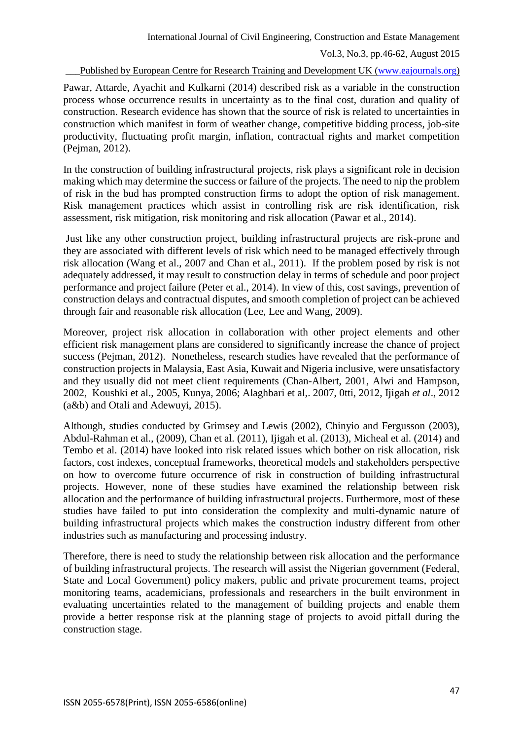Published by European Centre for Research Training and Development UK [\(www.eajournals.org\)](http://www.eajournals.org/)

Pawar, Attarde, Ayachit and Kulkarni (2014) described risk as a variable in the construction process whose occurrence results in uncertainty as to the final cost, duration and quality of construction. Research evidence has shown that the source of risk is related to uncertainties in construction which manifest in form of weather change, competitive bidding process, job-site productivity, fluctuating profit margin, inflation, contractual rights and market competition (Pejman, 2012).

In the construction of building infrastructural projects, risk plays a significant role in decision making which may determine the success or failure of the projects. The need to nip the problem of risk in the bud has prompted construction firms to adopt the option of risk management. Risk management practices which assist in controlling risk are risk identification, risk assessment, risk mitigation, risk monitoring and risk allocation (Pawar et al., 2014).

Just like any other construction project, building infrastructural projects are risk-prone and they are associated with different levels of risk which need to be managed effectively through risk allocation (Wang et al., 2007 and Chan et al., 2011). If the problem posed by risk is not adequately addressed, it may result to construction delay in terms of schedule and poor project performance and project failure (Peter et al., 2014). In view of this, cost savings, prevention of construction delays and contractual disputes, and smooth completion of project can be achieved through fair and reasonable risk allocation (Lee, Lee and Wang, 2009).

Moreover, project risk allocation in collaboration with other project elements and other efficient risk management plans are considered to significantly increase the chance of project success (Pejman, 2012). Nonetheless, research studies have revealed that the performance of construction projects in Malaysia, East Asia, Kuwait and Nigeria inclusive, were unsatisfactory and they usually did not meet client requirements (Chan-Albert, 2001, Alwi and Hampson, 2002, Koushki et al., 2005, Kunya, 2006; Alaghbari et al,. 2007, 0tti, 2012, Ijigah *et al*., 2012 (a&b) and Otali and Adewuyi, 2015).

Although, studies conducted by Grimsey and Lewis (2002), Chinyio and Fergusson (2003), Abdul-Rahman et al., (2009), Chan et al. (2011), Ijigah et al. (2013), Micheal et al. (2014) and Tembo et al. (2014) have looked into risk related issues which bother on risk allocation, risk factors, cost indexes, conceptual frameworks, theoretical models and stakeholders perspective on how to overcome future occurrence of risk in construction of building infrastructural projects. However, none of these studies have examined the relationship between risk allocation and the performance of building infrastructural projects. Furthermore, most of these studies have failed to put into consideration the complexity and multi-dynamic nature of building infrastructural projects which makes the construction industry different from other industries such as manufacturing and processing industry.

Therefore, there is need to study the relationship between risk allocation and the performance of building infrastructural projects. The research will assist the Nigerian government (Federal, State and Local Government) policy makers, public and private procurement teams, project monitoring teams, academicians, professionals and researchers in the built environment in evaluating uncertainties related to the management of building projects and enable them provide a better response risk at the planning stage of projects to avoid pitfall during the construction stage.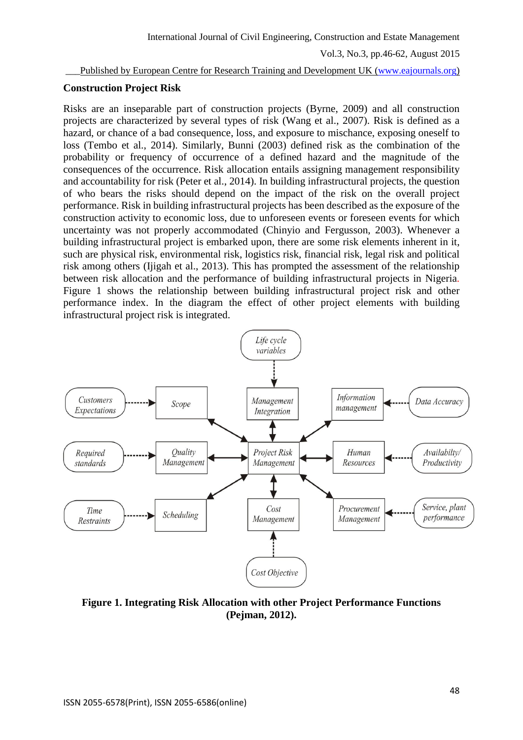Published by European Centre for Research Training and Development UK [\(www.eajournals.org\)](http://www.eajournals.org/)

#### **Construction Project Risk**

Risks are an inseparable part of construction projects (Byrne, 2009) and all construction projects are characterized by several types of risk (Wang et al., 2007). Risk is defined as a hazard, or chance of a bad consequence, loss, and exposure to mischance, exposing oneself to loss (Tembo et al., 2014). Similarly, Bunni (2003) defined risk as the combination of the probability or frequency of occurrence of a defined hazard and the magnitude of the consequences of the occurrence. Risk allocation entails assigning management responsibility and accountability for risk (Peter et al., 2014). In building infrastructural projects, the question of who bears the risks should depend on the impact of the risk on the overall project performance. Risk in building infrastructural projects has been described as the exposure of the construction activity to economic loss, due to unforeseen events or foreseen events for which uncertainty was not properly accommodated (Chinyio and Fergusson, 2003). Whenever a building infrastructural project is embarked upon, there are some risk elements inherent in it, such are physical risk, environmental risk, logistics risk, financial risk, legal risk and political risk among others (Ijigah et al., 2013). This has prompted the assessment of the relationship between risk allocation and the performance of building infrastructural projects in Nigeria. Figure 1 shows the relationship between building infrastructural project risk and other performance index. In the diagram the effect of other project elements with building infrastructural project risk is integrated.



**Figure 1. Integrating Risk Allocation with other Project Performance Functions (Pejman, 2012).**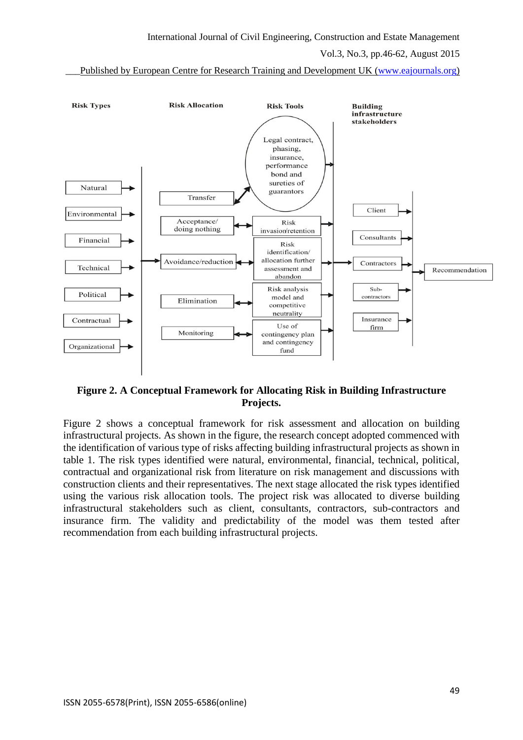\_\_\_Published by European Centre for Research Training and Development UK [\(www.eajournals.org\)](http://www.eajournals.org/)



### **Figure 2. A Conceptual Framework for Allocating Risk in Building Infrastructure Projects.**

Figure 2 shows a conceptual framework for risk assessment and allocation on building infrastructural projects. As shown in the figure, the research concept adopted commenced with the identification of various type of risks affecting building infrastructural projects as shown in table 1. The risk types identified were natural, environmental, financial, technical, political, contractual and organizational risk from literature on risk management and discussions with construction clients and their representatives. The next stage allocated the risk types identified using the various risk allocation tools. The project risk was allocated to diverse building infrastructural stakeholders such as client, consultants, contractors, sub-contractors and insurance firm. The validity and predictability of the model was them tested after recommendation from each building infrastructural projects.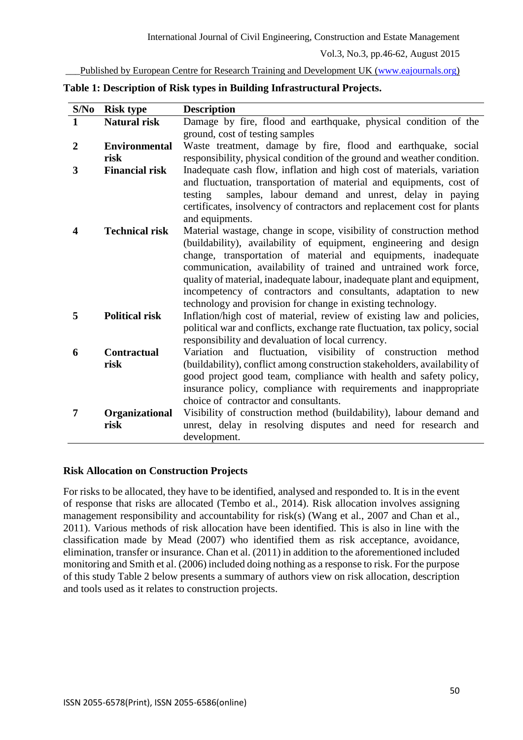Published by European Centre for Research Training and Development UK [\(www.eajournals.org\)](http://www.eajournals.org/)

| S/No             | <b>Risk type</b>      | <b>Description</b>                                                                                                                   |
|------------------|-----------------------|--------------------------------------------------------------------------------------------------------------------------------------|
| $\mathbf{1}$     | <b>Natural risk</b>   | Damage by fire, flood and earthquake, physical condition of the                                                                      |
|                  |                       | ground, cost of testing samples                                                                                                      |
| $\boldsymbol{2}$ | <b>Environmental</b>  | Waste treatment, damage by fire, flood and earthquake, social                                                                        |
|                  | risk                  | responsibility, physical condition of the ground and weather condition.                                                              |
| 3                | <b>Financial risk</b> | Inadequate cash flow, inflation and high cost of materials, variation                                                                |
|                  |                       | and fluctuation, transportation of material and equipments, cost of<br>samples, labour demand and unrest, delay in paying<br>testing |
|                  |                       | certificates, insolvency of contractors and replacement cost for plants<br>and equipments.                                           |
| 4                | <b>Technical risk</b> | Material wastage, change in scope, visibility of construction method                                                                 |
|                  |                       | (buildability), availability of equipment, engineering and design                                                                    |
|                  |                       | change, transportation of material and equipments, inadequate                                                                        |
|                  |                       | communication, availability of trained and untrained work force,                                                                     |
|                  |                       | quality of material, inadequate labour, inadequate plant and equipment,                                                              |
|                  |                       | incompetency of contractors and consultants, adaptation to new                                                                       |
|                  |                       | technology and provision for change in existing technology.                                                                          |
| 5                | <b>Political risk</b> | Inflation/high cost of material, review of existing law and policies,                                                                |
|                  |                       | political war and conflicts, exchange rate fluctuation, tax policy, social                                                           |
|                  |                       | responsibility and devaluation of local currency.                                                                                    |
| 6                | <b>Contractual</b>    | Variation and fluctuation, visibility of construction<br>method                                                                      |
|                  | risk                  | (buildability), conflict among construction stakeholders, availability of                                                            |
|                  |                       | good project good team, compliance with health and safety policy,                                                                    |
|                  |                       | insurance policy, compliance with requirements and inappropriate                                                                     |
|                  |                       | choice of contractor and consultants.                                                                                                |
| 7                | Organizational        | Visibility of construction method (buildability), labour demand and                                                                  |
|                  | risk                  | unrest, delay in resolving disputes and need for research and                                                                        |
|                  |                       | development.                                                                                                                         |

**Table 1: Description of Risk types in Building Infrastructural Projects.**

#### **Risk Allocation on Construction Projects**

For risks to be allocated, they have to be identified, analysed and responded to. It is in the event of response that risks are allocated (Tembo et al., 2014). Risk allocation involves assigning management responsibility and accountability for risk(s) (Wang et al., 2007 and Chan et al., 2011). Various methods of risk allocation have been identified. This is also in line with the classification made by Mead (2007) who identified them as risk acceptance, avoidance, elimination, transfer or insurance. Chan et al. (2011) in addition to the aforementioned included monitoring and Smith et al. (2006) included doing nothing as a response to risk. For the purpose of this study Table 2 below presents a summary of authors view on risk allocation, description and tools used as it relates to construction projects.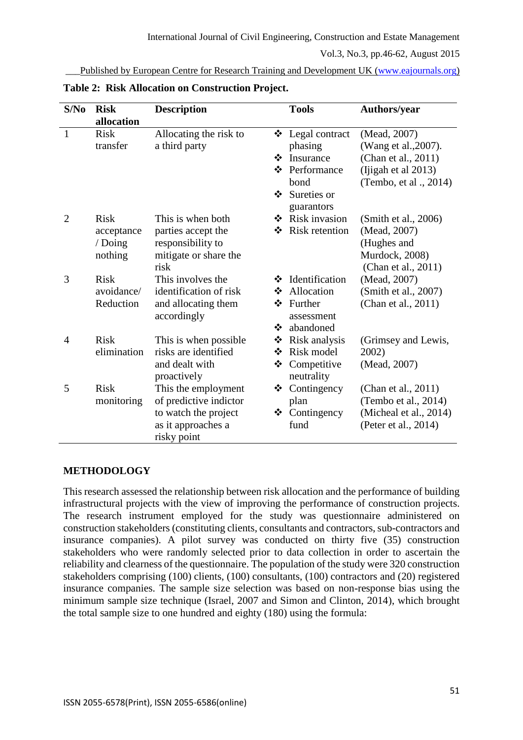Published by European Centre for Research Training and Development UK [\(www.eajournals.org\)](http://www.eajournals.org/)

| S/No           | <b>Risk</b><br>allocation                       | <b>Description</b>                                                                                         |                        | <b>Tools</b>                                                                                 | <b>Authors/year</b>                                                                                         |
|----------------|-------------------------------------------------|------------------------------------------------------------------------------------------------------------|------------------------|----------------------------------------------------------------------------------------------|-------------------------------------------------------------------------------------------------------------|
| $\mathbf{1}$   | <b>Risk</b><br>transfer                         | Allocating the risk to<br>a third party                                                                    | ❖<br>❖<br>$\mathbf{r}$ | Legal contract<br>phasing<br>Insurance<br>❖ Performance<br>bond<br>Sureties or<br>guarantors | (Mead, 2007)<br>(Wang et al., 2007).<br>(Chan et al., 2011)<br>(Ijigah et al 2013)<br>(Tembo, et al., 2014) |
| $\overline{2}$ | <b>Risk</b><br>acceptance<br>/ Doing<br>nothing | This is when both<br>parties accept the<br>responsibility to<br>mitigate or share the<br>risk              | ❖<br>❖                 | <b>Risk invasion</b><br>Risk retention                                                       | (Smith et al., 2006)<br>(Mead, 2007)<br>(Hughes and<br>Murdock, 2008)<br>(Chan et al., 2011)                |
| 3              | <b>Risk</b><br>avoidance/<br>Reduction          | This involves the<br>identification of risk<br>and allocating them<br>accordingly                          | ❖<br>❖<br>❖            | Identification<br>Allocation<br>❖ Further<br>assessment<br>abandoned                         | (Mead, 2007)<br>(Smith et al., 2007)<br>(Chan et al., 2011)                                                 |
| 4              | <b>Risk</b><br>elimination                      | This is when possible<br>risks are identified<br>and dealt with<br>proactively                             | ❖<br>❖<br>❖            | Risk analysis<br>Risk model<br>Competitive<br>neutrality                                     | (Grimsey and Lewis,<br>2002)<br>(Mead, 2007)                                                                |
| 5              | <b>Risk</b><br>monitoring                       | This the employment<br>of predictive indictor<br>to watch the project<br>as it approaches a<br>risky point | ❖                      | Contingency<br>plan<br>$\triangleleft$ Contingency<br>fund                                   | (Chan et al., 2011)<br>(Tembo et al., 2014)<br>(Micheal et al., 2014)<br>(Peter et al., 2014)               |

**Table 2: Risk Allocation on Construction Project.**

#### **METHODOLOGY**

This research assessed the relationship between risk allocation and the performance of building infrastructural projects with the view of improving the performance of construction projects. The research instrument employed for the study was questionnaire administered on construction stakeholders (constituting clients, consultants and contractors, sub-contractors and insurance companies). A pilot survey was conducted on thirty five (35) construction stakeholders who were randomly selected prior to data collection in order to ascertain the reliability and clearness of the questionnaire. The population of the study were 320 construction stakeholders comprising (100) clients, (100) consultants, (100) contractors and (20) registered insurance companies. The sample size selection was based on non-response bias using the minimum sample size technique (Israel, 2007 and Simon and Clinton, 2014), which brought the total sample size to one hundred and eighty (180) using the formula: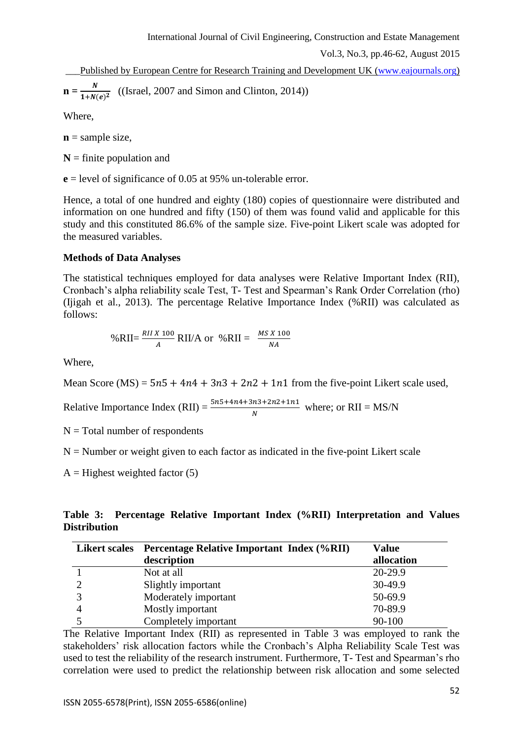\_\_\_Published by European Centre for Research Training and Development UK [\(www.eajournals.org\)](http://www.eajournals.org/)

$$
\mathbf{n} = \frac{N}{1 + N(e)^2} \quad \text{(Israel, 2007 and Simon and Clinton, 2014))}
$$

Where,

 $\mathbf{n}$  = sample size,

 $N =$  finite population and

**e** = level of significance of 0.05 at 95% un-tolerable error.

Hence, a total of one hundred and eighty (180) copies of questionnaire were distributed and information on one hundred and fifty (150) of them was found valid and applicable for this study and this constituted 86.6% of the sample size. Five-point Likert scale was adopted for the measured variables.

### **Methods of Data Analyses**

The statistical techniques employed for data analyses were Relative Important Index (RII), Cronbach's alpha reliability scale Test, T- Test and Spearman's Rank Order Correlation (rho) (Ijigah et al., 2013). The percentage Relative Importance Index (%RII) was calculated as follows:

$$
\% \text{RII} = \frac{RII X 100}{A} \text{RII/A or } \% \text{RII} = \frac{MS X 100}{NA}
$$

Where,

Mean Score (MS) =  $5n5 + 4n4 + 3n3 + 2n2 + 1n1$  from the five-point Likert scale used,

Relative Importance Index (RII) =  $\frac{5n5+4n4+3n3+2n2+1n1}{N}$  where; or RII = MS/N

 $N = Total number of respondents$ 

 $N =$  Number or weight given to each factor as indicated in the five-point Likert scale

 $A =$  Highest weighted factor (5)

# **Table 3: Percentage Relative Important Index (%RII) Interpretation and Values Distribution**

| <b>Likert scales</b> | <b>Percentage Relative Important Index (%RII)</b> | <b>Value</b> |
|----------------------|---------------------------------------------------|--------------|
|                      | description                                       | allocation   |
|                      | Not at all                                        | 20-29.9      |
|                      | Slightly important                                | 30-49.9      |
| $\mathbf{R}$         | Moderately important                              | 50-69.9      |
| 4                    | Mostly important                                  | 70-89.9      |
|                      | Completely important                              | 90-100       |

The Relative Important Index (RII) as represented in Table 3 was employed to rank the stakeholders' risk allocation factors while the Cronbach's Alpha Reliability Scale Test was used to test the reliability of the research instrument. Furthermore, T- Test and Spearman's rho correlation were used to predict the relationship between risk allocation and some selected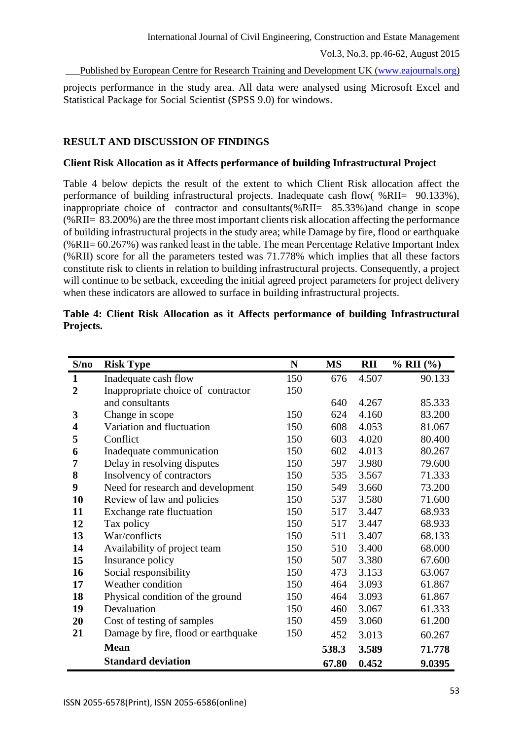Published by European Centre for Research Training and Development UK [\(www.eajournals.org\)](http://www.eajournals.org/)

projects performance in the study area. All data were analysed using Microsoft Excel and Statistical Package for Social Scientist (SPSS 9.0) for windows.

# **RESULT AND DISCUSSION OF FINDINGS**

### **Client Risk Allocation as it Affects performance of building Infrastructural Project**

Table 4 below depicts the result of the extent to which Client Risk allocation affect the performance of building infrastructural projects. Inadequate cash flow( %RII= 90.133%), inappropriate choice of contractor and consultants(%RII= 85.33%)and change in scope (%RII= 83.200%) are the three most important clients risk allocation affecting the performance of building infrastructural projects in the study area; while Damage by fire, flood or earthquake (%RII= 60.267%) was ranked least in the table. The mean Percentage Relative Important Index (%RII) score for all the parameters tested was 71.778% which implies that all these factors constitute risk to clients in relation to building infrastructural projects. Consequently, a project will continue to be setback, exceeding the initial agreed project parameters for project delivery when these indicators are allowed to surface in building infrastructural projects.

| S/no                    | <b>Risk Type</b>                    | N   | MS    | <b>RII</b> | $% RII (%)$ |
|-------------------------|-------------------------------------|-----|-------|------------|-------------|
| $\mathbf{1}$            | Inadequate cash flow                | 150 | 676   | 4.507      | 90.133      |
| $\overline{2}$          | Inappropriate choice of contractor  | 150 |       |            |             |
|                         | and consultants                     |     | 640   | 4.267      | 85.333      |
| 3                       | Change in scope                     | 150 | 624   | 4.160      | 83.200      |
| $\overline{\mathbf{4}}$ | Variation and fluctuation           | 150 | 608   | 4.053      | 81.067      |
| 5                       | Conflict                            | 150 | 603   | 4.020      | 80.400      |
| 6                       | Inadequate communication            | 150 | 602   | 4.013      | 80.267      |
| 7                       | Delay in resolving disputes         | 150 | 597   | 3.980      | 79.600      |
| 8                       | Insolvency of contractors           | 150 | 535   | 3.567      | 71.333      |
| 9                       | Need for research and development   | 150 | 549   | 3.660      | 73.200      |
| 10                      | Review of law and policies          | 150 | 537   | 3.580      | 71.600      |
| 11                      | Exchange rate fluctuation           | 150 | 517   | 3.447      | 68.933      |
| 12                      | Tax policy                          | 150 | 517   | 3.447      | 68.933      |
| 13                      | War/conflicts                       | 150 | 511   | 3.407      | 68.133      |
| 14                      | Availability of project team        | 150 | 510   | 3.400      | 68.000      |
| 15                      | Insurance policy                    | 150 | 507   | 3.380      | 67.600      |
| 16                      | Social responsibility               | 150 | 473   | 3.153      | 63.067      |
| 17                      | Weather condition                   | 150 | 464   | 3.093      | 61.867      |
| 18                      | Physical condition of the ground    | 150 | 464   | 3.093      | 61.867      |
| 19                      | Devaluation                         | 150 | 460   | 3.067      | 61.333      |
| 20                      | Cost of testing of samples          | 150 | 459   | 3.060      | 61.200      |
| 21                      | Damage by fire, flood or earthquake | 150 | 452   | 3.013      | 60.267      |
|                         | <b>Mean</b>                         |     | 538.3 | 3.589      | 71.778      |
|                         | <b>Standard deviation</b>           |     | 67.80 | 0.452      | 9.0395      |

|           |  |  | Table 4: Client Risk Allocation as it Affects performance of building Infrastructural |  |  |
|-----------|--|--|---------------------------------------------------------------------------------------|--|--|
| Projects. |  |  |                                                                                       |  |  |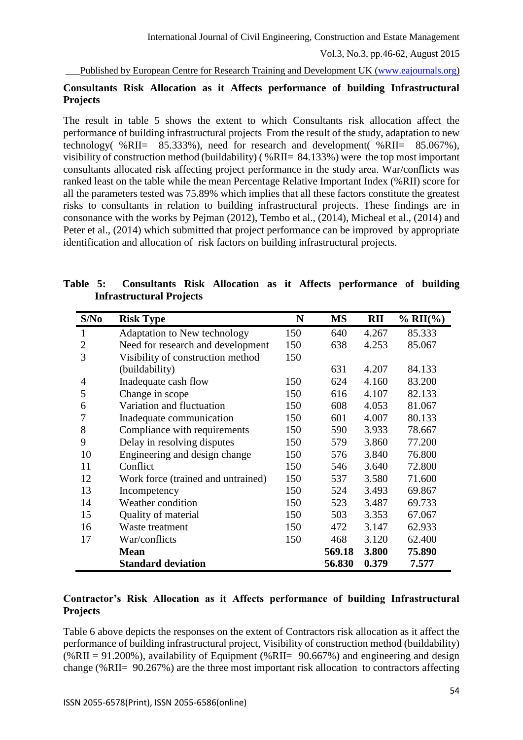Published by European Centre for Research Training and Development UK [\(www.eajournals.org\)](http://www.eajournals.org/)

# **Consultants Risk Allocation as it Affects performance of building Infrastructural Projects**

The result in table 5 shows the extent to which Consultants risk allocation affect the performance of building infrastructural projects From the result of the study, adaptation to new technology(  $\%$ RII= 85.333%), need for research and development(  $\%$ RII= 85.067%), visibility of construction method (buildability) ( %RII= 84.133%) were the top most important consultants allocated risk affecting project performance in the study area. War/conflicts was ranked least on the table while the mean Percentage Relative Important Index (%RII) score for all the parameters tested was 75.89% which implies that all these factors constitute the greatest risks to consultants in relation to building infrastructural projects. These findings are in consonance with the works by Pejman (2012), Tembo et al., (2014), Micheal et al., (2014) and Peter et al., (2014) which submitted that project performance can be improved by appropriate identification and allocation of risk factors on building infrastructural projects.

|  |                                 |  |  | Table 5: Consultants Risk Allocation as it Affects performance of building |  |
|--|---------------------------------|--|--|----------------------------------------------------------------------------|--|
|  | <b>Infrastructural Projects</b> |  |  |                                                                            |  |
|  |                                 |  |  |                                                                            |  |

| S/No           | <b>Risk Type</b>                   | N   | <b>MS</b> | <b>RII</b> | $% RII(\%)$ |
|----------------|------------------------------------|-----|-----------|------------|-------------|
| 1              | Adaptation to New technology       | 150 | 640       | 4.267      | 85.333      |
| $\overline{2}$ | Need for research and development  | 150 | 638       | 4.253      | 85.067      |
| 3              | Visibility of construction method  | 150 |           |            |             |
|                | (buildability)                     |     | 631       | 4.207      | 84.133      |
| 4              | Inadequate cash flow               | 150 | 624       | 4.160      | 83.200      |
| 5              | Change in scope                    | 150 | 616       | 4.107      | 82.133      |
| 6              | Variation and fluctuation          | 150 | 608       | 4.053      | 81.067      |
| 7              | Inadequate communication           | 150 | 601       | 4.007      | 80.133      |
| 8              | Compliance with requirements       | 150 | 590       | 3.933      | 78.667      |
| 9              | Delay in resolving disputes        | 150 | 579       | 3.860      | 77.200      |
| 10             | Engineering and design change      | 150 | 576       | 3.840      | 76.800      |
| 11             | Conflict                           | 150 | 546       | 3.640      | 72.800      |
| 12             | Work force (trained and untrained) | 150 | 537       | 3.580      | 71.600      |
| 13             | Incompetency                       | 150 | 524       | 3.493      | 69.867      |
| 14             | Weather condition                  | 150 | 523       | 3.487      | 69.733      |
| 15             | Quality of material                | 150 | 503       | 3.353      | 67.067      |
| 16             | Waste treatment                    | 150 | 472       | 3.147      | 62.933      |
| 17             | War/conflicts                      | 150 | 468       | 3.120      | 62.400      |
|                | <b>Mean</b>                        |     | 569.18    | 3.800      | 75.890      |
|                | <b>Standard deviation</b>          |     | 56.830    | 0.379      | 7.577       |

## **Contractor's Risk Allocation as it Affects performance of building Infrastructural Projects**

Table 6 above depicts the responses on the extent of Contractors risk allocation as it affect the performance of building infrastructural project, Visibility of construction method (buildability)  $(\%$ RII = 91.200%), availability of Equipment (%RII= 90.667%) and engineering and design change (%RII= 90.267%) are the three most important risk allocation to contractors affecting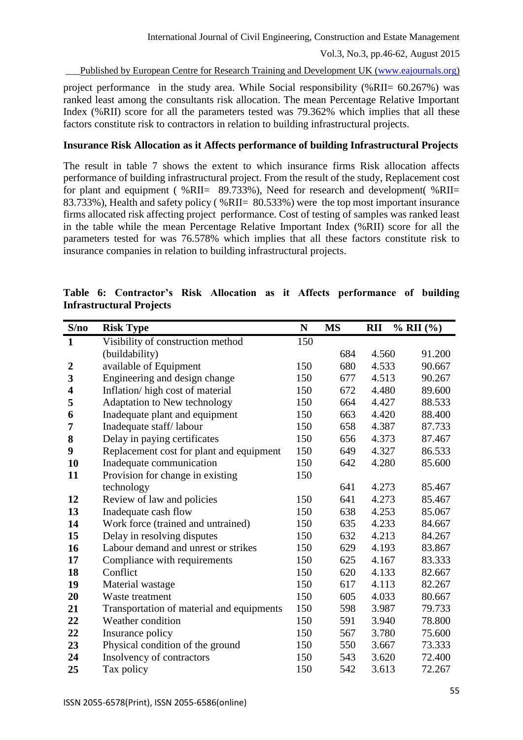Published by European Centre for Research Training and Development UK [\(www.eajournals.org\)](http://www.eajournals.org/)

project performance in the study area. While Social responsibility (%RII= 60.267%) was ranked least among the consultants risk allocation. The mean Percentage Relative Important Index (%RII) score for all the parameters tested was 79.362% which implies that all these factors constitute risk to contractors in relation to building infrastructural projects.

### **Insurance Risk Allocation as it Affects performance of building Infrastructural Projects**

The result in table 7 shows the extent to which insurance firms Risk allocation affects performance of building infrastructural project. From the result of the study, Replacement cost for plant and equipment ( $\%$ RII=  $\frac{89.733}{6}$ ), Need for research and development ( $\%$ RII= 83.733%), Health and safety policy ( %RII= 80.533%) were the top most important insurance firms allocated risk affecting project performance. Cost of testing of samples was ranked least in the table while the mean Percentage Relative Important Index (%RII) score for all the parameters tested for was 76.578% which implies that all these factors constitute risk to insurance companies in relation to building infrastructural projects.

| S/no                    | <b>Risk Type</b>                          | ${\bf N}$ | <b>MS</b> | <b>RII</b> | $% RII (\%)$ |
|-------------------------|-------------------------------------------|-----------|-----------|------------|--------------|
| $\mathbf{1}$            | Visibility of construction method         | 150       |           |            |              |
|                         | (buildability)                            |           | 684       | 4.560      | 91.200       |
| $\overline{2}$          | available of Equipment                    | 150       | 680       | 4.533      | 90.667       |
| 3                       | Engineering and design change             | 150       | 677       | 4.513      | 90.267       |
| $\overline{\mathbf{4}}$ | Inflation/high cost of material           | 150       | 672       | 4.480      | 89.600       |
| 5                       | Adaptation to New technology              | 150       | 664       | 4.427      | 88.533       |
| 6                       | Inadequate plant and equipment            | 150       | 663       | 4.420      | 88.400       |
| 7                       | Inadequate staff/labour                   | 150       | 658       | 4.387      | 87.733       |
| 8                       | Delay in paying certificates              | 150       | 656       | 4.373      | 87.467       |
| 9                       | Replacement cost for plant and equipment  | 150       | 649       | 4.327      | 86.533       |
| 10                      | Inadequate communication                  | 150       | 642       | 4.280      | 85.600       |
| 11                      | Provision for change in existing          | 150       |           |            |              |
|                         | technology                                |           | 641       | 4.273      | 85.467       |
| 12                      | Review of law and policies                | 150       | 641       | 4.273      | 85.467       |
| 13                      | Inadequate cash flow                      | 150       | 638       | 4.253      | 85.067       |
| 14                      | Work force (trained and untrained)        | 150       | 635       | 4.233      | 84.667       |
| 15                      | Delay in resolving disputes               | 150       | 632       | 4.213      | 84.267       |
| 16                      | Labour demand and unrest or strikes       | 150       | 629       | 4.193      | 83.867       |
| 17                      | Compliance with requirements              | 150       | 625       | 4.167      | 83.333       |
| 18                      | Conflict                                  | 150       | 620       | 4.133      | 82.667       |
| 19                      | Material wastage                          | 150       | 617       | 4.113      | 82.267       |
| 20                      | Waste treatment                           | 150       | 605       | 4.033      | 80.667       |
| 21                      | Transportation of material and equipments | 150       | 598       | 3.987      | 79.733       |
| 22                      | Weather condition                         | 150       | 591       | 3.940      | 78.800       |
| 22                      | Insurance policy                          | 150       | 567       | 3.780      | 75.600       |
| 23                      | Physical condition of the ground          | 150       | 550       | 3.667      | 73.333       |
| 24                      | Insolvency of contractors                 | 150       | 543       | 3.620      | 72.400       |
| 25                      | Tax policy                                | 150       | 542       | 3.613      | 72.267       |

## **Table 6: Contractor's Risk Allocation as it Affects performance of building Infrastructural Projects**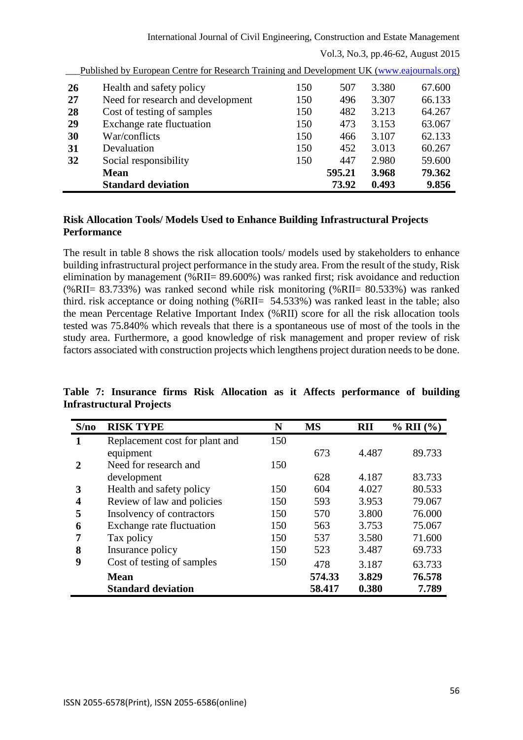International Journal of Civil Engineering, Construction and Estate Management

Vol.3, No.3, pp.46-62, August 2015

|                                                                                                                                                                                                                               |        |       | 67.600 |
|-------------------------------------------------------------------------------------------------------------------------------------------------------------------------------------------------------------------------------|--------|-------|--------|
| 150                                                                                                                                                                                                                           | 496    | 3.307 | 66.133 |
| 150                                                                                                                                                                                                                           | 482    | 3.213 | 64.267 |
| 150                                                                                                                                                                                                                           | 473    | 3.153 | 63.067 |
| 150                                                                                                                                                                                                                           | 466    | 3.107 | 62.133 |
| 150                                                                                                                                                                                                                           | 452    | 3.013 | 60.267 |
| 150                                                                                                                                                                                                                           | 447    | 2.980 | 59.600 |
|                                                                                                                                                                                                                               | 595.21 | 3.968 | 79.362 |
|                                                                                                                                                                                                                               | 73.92  | 0.493 | 9.856  |
| Health and safety policy<br>Need for research and development<br>Cost of testing of samples<br>Exchange rate fluctuation<br>War/conflicts<br>Devaluation<br>Social responsibility<br><b>Mean</b><br><b>Standard deviation</b> | 150    | 507   | 3.380  |

Published by European Centre for Research Training and Development UK [\(www.eajournals.org\)](http://www.eajournals.org/)

# **Risk Allocation Tools/ Models Used to Enhance Building Infrastructural Projects Performance**

The result in table 8 shows the risk allocation tools/ models used by stakeholders to enhance building infrastructural project performance in the study area. From the result of the study, Risk elimination by management (%RII= 89.600%) was ranked first; risk avoidance and reduction (%RII= 83.733%) was ranked second while risk monitoring (%RII= 80.533%) was ranked third. risk acceptance or doing nothing (%RII= 54.533%) was ranked least in the table; also the mean Percentage Relative Important Index (%RII) score for all the risk allocation tools tested was 75.840% which reveals that there is a spontaneous use of most of the tools in the study area. Furthermore, a good knowledge of risk management and proper review of risk factors associated with construction projects which lengthens project duration needs to be done.

## **Table 7: Insurance firms Risk Allocation as it Affects performance of building Infrastructural Projects**

| S/no        | <b>RISK TYPE</b>               | N   | <b>MS</b> | RII   | $\%$ RII $(\%)$ |
|-------------|--------------------------------|-----|-----------|-------|-----------------|
| 1           | Replacement cost for plant and | 150 |           |       |                 |
|             | equipment                      |     | 673       | 4.487 | 89.733          |
| $\mathbf 2$ | Need for research and          | 150 |           |       |                 |
|             | development                    |     | 628       | 4.187 | 83.733          |
| 3           | Health and safety policy       | 150 | 604       | 4.027 | 80.533          |
| 4           | Review of law and policies     | 150 | 593       | 3.953 | 79.067          |
| 5           | Insolvency of contractors      | 150 | 570       | 3.800 | 76.000          |
| 6           | Exchange rate fluctuation      | 150 | 563       | 3.753 | 75.067          |
| 7           | Tax policy                     | 150 | 537       | 3.580 | 71.600          |
| 8           | Insurance policy               | 150 | 523       | 3.487 | 69.733          |
| 9           | Cost of testing of samples     | 150 | 478       | 3.187 | 63.733          |
|             | <b>Mean</b>                    |     | 574.33    | 3.829 | 76.578          |
|             | <b>Standard deviation</b>      |     | 58.417    | 0.380 | 7.789           |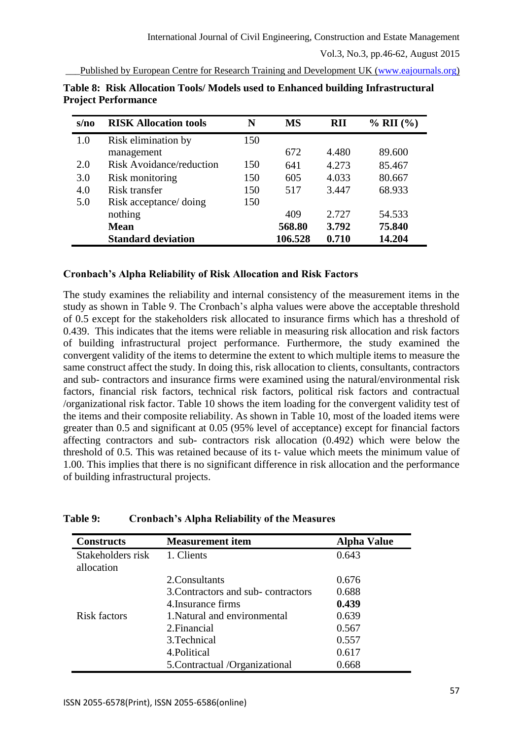Published by European Centre for Research Training and Development UK [\(www.eajournals.org\)](http://www.eajournals.org/)

| s/no | <b>RISK Allocation tools</b>    | N   | <b>MS</b> | <b>RII</b> | $\%$ RII $(\%)$ |
|------|---------------------------------|-----|-----------|------------|-----------------|
| 1.0  | Risk elimination by             | 150 |           |            |                 |
|      | management                      |     | 672       | 4.480      | 89.600          |
| 2.0  | <b>Risk Avoidance/reduction</b> | 150 | 641       | 4.273      | 85.467          |
| 3.0  | Risk monitoring                 | 150 | 605       | 4.033      | 80.667          |
| 4.0  | Risk transfer                   | 150 | 517       | 3.447      | 68.933          |
| 5.0  | Risk acceptance/ doing          | 150 |           |            |                 |
|      | nothing                         |     | 409       | 2.727      | 54.533          |
|      | <b>Mean</b>                     |     | 568.80    | 3.792      | 75.840          |
|      | <b>Standard deviation</b>       |     | 106.528   | 0.710      | 14.204          |

**Table 8: Risk Allocation Tools/ Models used to Enhanced building Infrastructural Project Performance**

### **Cronbach's Alpha Reliability of Risk Allocation and Risk Factors**

The study examines the reliability and internal consistency of the measurement items in the study as shown in Table 9. The Cronbach's alpha values were above the acceptable threshold of 0.5 except for the stakeholders risk allocated to insurance firms which has a threshold of 0.439. This indicates that the items were reliable in measuring risk allocation and risk factors of building infrastructural project performance. Furthermore, the study examined the convergent validity of the items to determine the extent to which multiple items to measure the same construct affect the study. In doing this, risk allocation to clients, consultants, contractors and sub- contractors and insurance firms were examined using the natural/environmental risk factors, financial risk factors, technical risk factors, political risk factors and contractual /organizational risk factor. Table 10 shows the item loading for the convergent validity test of the items and their composite reliability. As shown in Table 10, most of the loaded items were greater than 0.5 and significant at 0.05 (95% level of acceptance) except for financial factors affecting contractors and sub- contractors risk allocation (0.492) which were below the threshold of 0.5. This was retained because of its t- value which meets the minimum value of 1.00. This implies that there is no significant difference in risk allocation and the performance of building infrastructural projects.

| <b>Constructs</b>               | <b>Measurement item</b>            | <b>Alpha Value</b> |
|---------------------------------|------------------------------------|--------------------|
| Stakeholders risk<br>allocation | 1. Clients                         | 0.643              |
|                                 | 2. Consultants                     | 0.676              |
|                                 | 3. Contractors and sub-contractors | 0.688              |
|                                 | 4. Insurance firms                 | 0.439              |
| <b>Risk factors</b>             | 1. Natural and environmental       | 0.639              |
|                                 | 2. Financial                       | 0.567              |
|                                 | 3. Technical                       | 0.557              |
|                                 | 4. Political                       | 0.617              |
|                                 | 5. Contractual /Organizational     | 0.668              |

#### **Table 9: Cronbach's Alpha Reliability of the Measures**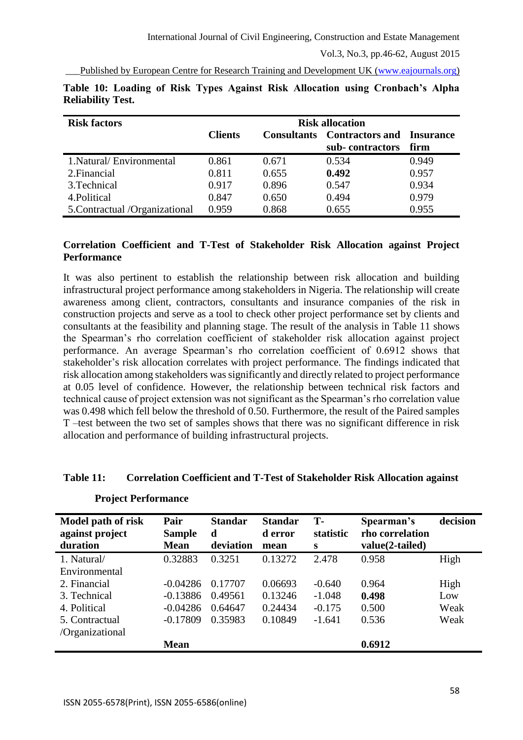Published by European Centre for Research Training and Development UK [\(www.eajournals.org\)](http://www.eajournals.org/)

| <b>Risk factors</b>            | <b>Risk allocation</b> |                    |                                                     |       |  |  |  |
|--------------------------------|------------------------|--------------------|-----------------------------------------------------|-------|--|--|--|
|                                | <b>Clients</b>         | <b>Consultants</b> | <b>Contractors and Insurance</b><br>sub-contractors | firm  |  |  |  |
|                                |                        |                    |                                                     |       |  |  |  |
| 1. Natural/Environmental       | 0.861                  | 0.671              | 0.534                                               | 0.949 |  |  |  |
| 2. Financial                   | 0.811                  | 0.655              | 0.492                                               | 0.957 |  |  |  |
| 3. Technical                   | 0.917                  | 0.896              | 0.547                                               | 0.934 |  |  |  |
| 4. Political                   | 0.847                  | 0.650              | 0.494                                               | 0.979 |  |  |  |
| 5. Contractual /Organizational | 0.959                  | 0.868              | 0.655                                               | 0.955 |  |  |  |

|                          |  |  |  |  | Table 10: Loading of Risk Types Against Risk Allocation using Cronbach's Alpha |  |
|--------------------------|--|--|--|--|--------------------------------------------------------------------------------|--|
| <b>Reliability Test.</b> |  |  |  |  |                                                                                |  |

### **Correlation Coefficient and T-Test of Stakeholder Risk Allocation against Project Performance**

It was also pertinent to establish the relationship between risk allocation and building infrastructural project performance among stakeholders in Nigeria. The relationship will create awareness among client, contractors, consultants and insurance companies of the risk in construction projects and serve as a tool to check other project performance set by clients and consultants at the feasibility and planning stage. The result of the analysis in Table 11 shows the Spearman's rho correlation coefficient of stakeholder risk allocation against project performance. An average Spearman's rho correlation coefficient of 0.6912 shows that stakeholder's risk allocation correlates with project performance. The findings indicated that risk allocation among stakeholders was significantly and directly related to project performance at 0.05 level of confidence. However, the relationship between technical risk factors and technical cause of project extension was not significant as the Spearman's rho correlation value was 0.498 which fell below the threshold of 0.50. Furthermore, the result of the Paired samples T –test between the two set of samples shows that there was no significant difference in risk allocation and performance of building infrastructural projects.

#### **Table 11: Correlation Coefficient and T-Test of Stakeholder Risk Allocation against**

| Model path of risk<br>against project<br>duration | Pair<br><b>Sample</b><br><b>Mean</b> | <b>Standar</b><br>d<br>deviation | <b>Standar</b><br>d error<br>mean | T-<br>statistic<br>S | Spearman's<br>rho correlation<br>value(2-tailed) | decision |
|---------------------------------------------------|--------------------------------------|----------------------------------|-----------------------------------|----------------------|--------------------------------------------------|----------|
| 1. Natural/                                       | 0.32883                              | 0.3251                           | 0.13272                           | 2.478                | 0.958                                            | High     |
| Environmental                                     |                                      |                                  |                                   |                      |                                                  |          |
| 2. Financial                                      | -0.04286                             | 0.17707                          | 0.06693                           | $-0.640$             | 0.964                                            | High     |
| 3. Technical                                      | $-0.13886$                           | 0.49561                          | 0.13246                           | $-1.048$             | 0.498                                            | Low      |
| 4. Political                                      | $-0.04286$                           | 0.64647                          | 0.24434                           | $-0.175$             | 0.500                                            | Weak     |
| 5. Contractual                                    | $-0.17809$                           | 0.35983                          | 0.10849                           | $-1.641$             | 0.536                                            | Weak     |
| /Organizational                                   |                                      |                                  |                                   |                      |                                                  |          |
|                                                   | <b>Mean</b>                          |                                  |                                   |                      | 0.6912                                           |          |

#### **Project Performance**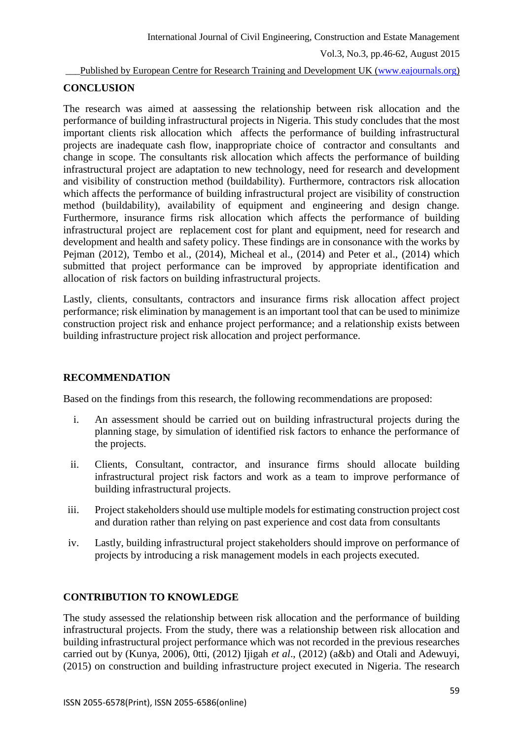\_\_\_Published by European Centre for Research Training and Development UK [\(www.eajournals.org\)](http://www.eajournals.org/)

### **CONCLUSION**

The research was aimed at aassessing the relationship between risk allocation and the performance of building infrastructural projects in Nigeria. This study concludes that the most important clients risk allocation which affects the performance of building infrastructural projects are inadequate cash flow, inappropriate choice of contractor and consultants and change in scope. The consultants risk allocation which affects the performance of building infrastructural project are adaptation to new technology, need for research and development and visibility of construction method (buildability). Furthermore, contractors risk allocation which affects the performance of building infrastructural project are visibility of construction method (buildability), availability of equipment and engineering and design change. Furthermore, insurance firms risk allocation which affects the performance of building infrastructural project are replacement cost for plant and equipment, need for research and development and health and safety policy. These findings are in consonance with the works by Pejman (2012), Tembo et al., (2014), Micheal et al., (2014) and Peter et al., (2014) which submitted that project performance can be improved by appropriate identification and allocation of risk factors on building infrastructural projects.

Lastly, clients, consultants, contractors and insurance firms risk allocation affect project performance; risk elimination by management is an important tool that can be used to minimize construction project risk and enhance project performance; and a relationship exists between building infrastructure project risk allocation and project performance.

## **RECOMMENDATION**

Based on the findings from this research, the following recommendations are proposed:

- i. An assessment should be carried out on building infrastructural projects during the planning stage, by simulation of identified risk factors to enhance the performance of the projects.
- ii. Clients, Consultant, contractor, and insurance firms should allocate building infrastructural project risk factors and work as a team to improve performance of building infrastructural projects.
- iii. Project stakeholders should use multiple models for estimating construction project cost and duration rather than relying on past experience and cost data from consultants
- iv. Lastly, building infrastructural project stakeholders should improve on performance of projects by introducing a risk management models in each projects executed.

#### **CONTRIBUTION TO KNOWLEDGE**

The study assessed the relationship between risk allocation and the performance of building infrastructural projects. From the study, there was a relationship between risk allocation and building infrastructural project performance which was not recorded in the previous researches carried out by (Kunya, 2006), 0tti, (2012) Ijigah *et al*., (2012) (a&b) and Otali and Adewuyi, (2015) on construction and building infrastructure project executed in Nigeria. The research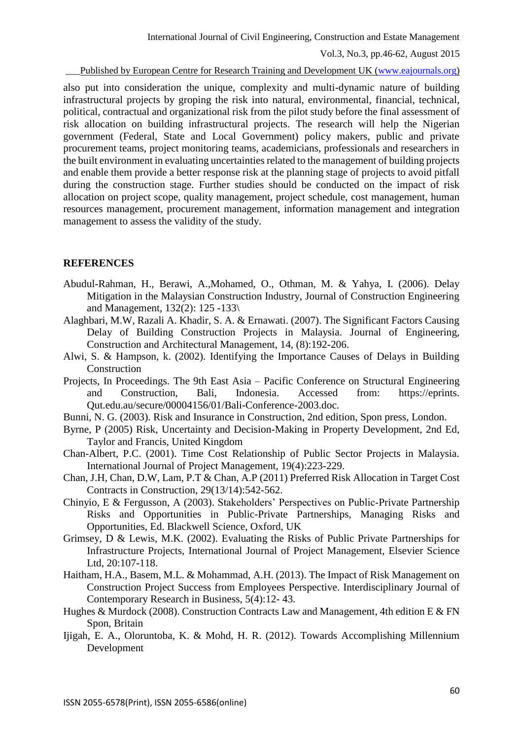Published by European Centre for Research Training and Development UK [\(www.eajournals.org\)](http://www.eajournals.org/)

also put into consideration the unique, complexity and multi-dynamic nature of building infrastructural projects by groping the risk into natural, environmental, financial, technical, political, contractual and organizational risk from the pilot study before the final assessment of risk allocation on building infrastructural projects. The research will help the Nigerian government (Federal, State and Local Government) policy makers, public and private procurement teams, project monitoring teams, academicians, professionals and researchers in the built environment in evaluating uncertainties related to the management of building projects and enable them provide a better response risk at the planning stage of projects to avoid pitfall during the construction stage. Further studies should be conducted on the impact of risk allocation on project scope, quality management, project schedule, cost management, human resources management, procurement management, information management and integration management to assess the validity of the study.

#### **REFERENCES**

- Abudul-Rahman, H., Berawi, A.,Mohamed, O., Othman, M. & Yahya, I. (2006). Delay Mitigation in the Malaysian Construction Industry, Journal of Construction Engineering and Management, 132(2): 125 -133\
- Alaghbari, M.W, Razali A. Khadir, S. A. & Ernawati. (2007). The Significant Factors Causing Delay of Building Construction Projects in Malaysia. Journal of Engineering, Construction and Architectural Management, 14, (8):192-206.
- Alwi, S. & Hampson, k. (2002). Identifying the Importance Causes of Delays in Building Construction
- Projects, In Proceedings. The 9th East Asia Pacific Conference on Structural Engineering and Construction, Bali, Indonesia. Accessed from: https://eprints. Qut.edu.au/secure/00004156/01/Bali-Conference-2003.doc.
- Bunni, N. G. (2003). Risk and Insurance in Construction, 2nd edition, Spon press, London.
- Byrne, P (2005) Risk, Uncertainty and Decision-Making in Property Development, 2nd Ed, Taylor and Francis, United Kingdom
- Chan-Albert, P.C. (2001). Time Cost Relationship of Public Sector Projects in Malaysia. International Journal of Project Management, 19(4):223-229.
- Chan, J.H, Chan, D.W, Lam, P.T & Chan, A.P (2011) Preferred Risk Allocation in Target Cost Contracts in Construction, 29(13/14):542-562.
- Chinyio, E & Fergusson, A (2003). Stakeholders' Perspectives on Public-Private Partnership Risks and Opportunities in Public-Private Partnerships, Managing Risks and Opportunities, Ed. Blackwell Science, Oxford, UK
- Grimsey, D & Lewis, M.K. (2002). Evaluating the Risks of Public Private Partnerships for Infrastructure Projects, International Journal of Project Management, Elsevier Science Ltd, 20:107-118.
- Haitham, H.A., Basem, M.L. & Mohammad, A.H. (2013). The Impact of Risk Management on Construction Project Success from Employees Perspective. Interdisciplinary Journal of Contemporary Research in Business, 5(4):12- 43.
- Hughes & Murdock (2008). Construction Contracts Law and Management, 4th edition E & FN Spon, Britain
- Ijigah, E. A., Oloruntoba, K. & Mohd, H. R. (2012). Towards Accomplishing Millennium Development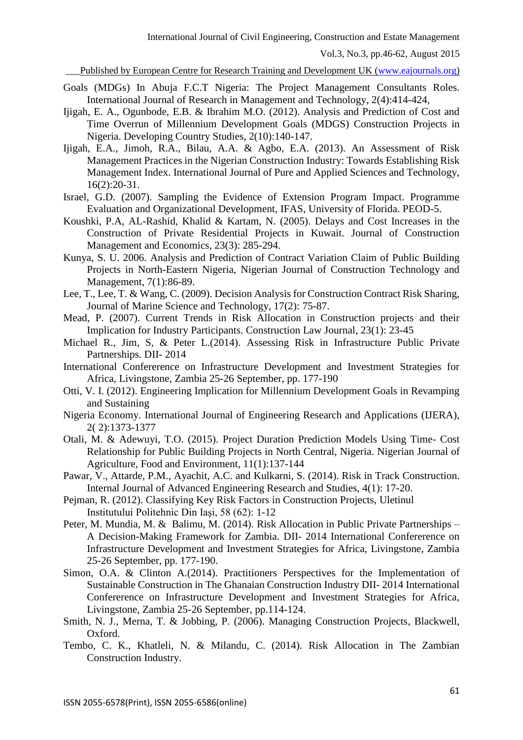Published by European Centre for Research Training and Development UK [\(www.eajournals.org\)](http://www.eajournals.org/)

- Goals (MDGs) In Abuja F.C.T Nigeria: The Project Management Consultants Roles. International Journal of Research in Management and Technology, 2(4):414-424,
- Ijigah, E. A., Ogunbode, E.B. & Ibrahim M.O. (2012). Analysis and Prediction of Cost and Time Overrun of Millennium Development Goals (MDGS) Construction Projects in Nigeria. Developing Country Studies, 2(10):140-147.
- Ijigah, E.A., Jimoh, R.A., Bilau, A.A. & Agbo, E.A. (2013). An Assessment of Risk Management Practices in the Nigerian Construction Industry: Towards Establishing Risk Management Index. International Journal of Pure and Applied Sciences and Technology, 16(2):20-31.
- Israel, G.D. (2007). Sampling the Evidence of Extension Program Impact. Programme Evaluation and Organizational Development, IFAS, University of Florida. PEOD-5.
- Koushki, P.A, AL-Rashid, Khalid & Kartam, N. (2005). Delays and Cost Increases in the Construction of Private Residential Projects in Kuwait. Journal of Construction Management and Economics, 23(3): 285-294.
- Kunya, S. U. 2006. Analysis and Prediction of Contract Variation Claim of Public Building Projects in North-Eastern Nigeria, Nigerian Journal of Construction Technology and Management, 7(1):86-89.
- Lee, T., Lee, T. & Wang, C. (2009). Decision Analysis for Construction Contract Risk Sharing, Journal of Marine Science and Technology, 17(2): 75-87.
- Mead, P. (2007). Current Trends in Risk Allocation in Construction projects and their Implication for Industry Participants. Construction Law Journal, 23(1): 23-45
- Michael R., Jim, S, & Peter L.(2014). Assessing Risk in Infrastructure Public Private Partnerships. DII- 2014
- International Confererence on Infrastructure Development and Investment Strategies for Africa, Livingstone, Zambia 25-26 September, pp. 177-190
- Otti, V. I. (2012). Engineering Implication for Millennium Development Goals in Revamping and Sustaining
- Nigeria Economy. International Journal of Engineering Research and Applications (IJERA), 2( 2):1373-1377
- Otali, M. & Adewuyi, T.O. (2015). Project Duration Prediction Models Using Time- Cost Relationship for Public Building Projects in North Central, Nigeria. Nigerian Journal of Agriculture, Food and Environment, 11(1):137-144
- Pawar, V., Attarde, P.M., Ayachit, A.C. and Kulkarni, S. (2014). Risk in Track Construction. Internal Journal of Advanced Engineering Research and Studies, 4(1): 17-20.
- Pejman, R. (2012). Classifying Key Risk Factors in Construction Projects, Uletinul Institutului Politehnic Din Iaşi, 58 (62): 1-12
- Peter, M. Mundia, M. & Balimu, M. (2014). Risk Allocation in Public Private Partnerships A Decision-Making Framework for Zambia. DII- 2014 International Confererence on Infrastructure Development and Investment Strategies for Africa, Livingstone, Zambia 25-26 September, pp. 177-190.
- Simon, O.A. & Clinton A.(2014). Practitioners Perspectives for the Implementation of Sustainable Construction in The Ghanaian Construction Industry DII- 2014 International Confererence on Infrastructure Development and Investment Strategies for Africa, Livingstone, Zambia 25-26 September, pp.114-124.
- Smith, N. J., Merna, T. & Jobbing, P. (2006). Managing Construction Projects, Blackwell, Oxford.
- Tembo, C. K., Khatleli, N. & Milandu, C. (2014). Risk Allocation in The Zambian Construction Industry.